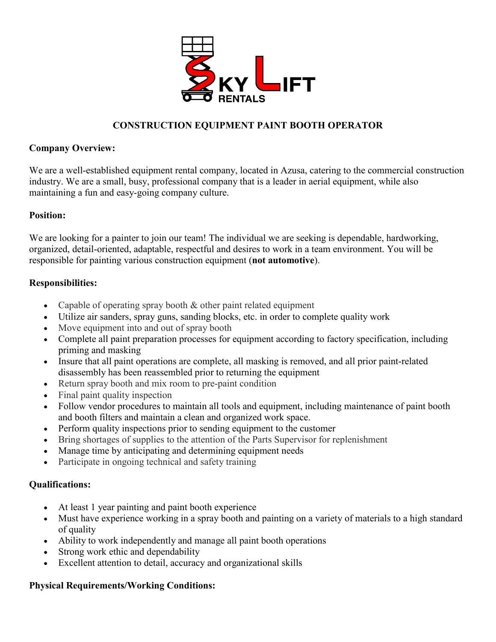

# **CONSTRUCTION EQUIPMENT PAINT BOOTH OPERATOR**

## **Company Overview:**

We are a well-established equipment rental company, located in Azusa, catering to the commercial construction industry. We are a small, busy, professional company that is a leader in aerial equipment, while also maintaining a fun and easy-going company culture.

## **Position:**

We are looking for a painter to join our team! The individual we are seeking is dependable, hardworking, organized, detail-oriented, adaptable, respectful and desires to work in a team environment. You will be responsible for painting various construction equipment (**not automotive**).

## **Responsibilities:**

- Capable of operating spray booth  $&$  other paint related equipment
- Utilize air sanders, spray guns, sanding blocks, etc. in order to complete quality work
- Move equipment into and out of spray booth
- Complete all paint preparation processes for equipment according to factory specification, including priming and masking
- Insure that all paint operations are complete, all masking is removed, and all prior paint-related disassembly has been reassembled prior to returning the equipment
- Return spray booth and mix room to pre-paint condition
- Final paint quality inspection
- Follow vendor procedures to maintain all tools and equipment, including maintenance of paint booth and booth filters and maintain a clean and organized work space.
- Perform quality inspections prior to sending equipment to the customer
- Bring shortages of supplies to the attention of the Parts Supervisor for replenishment
- Manage time by anticipating and determining equipment needs
- Participate in ongoing technical and safety training

#### **Qualifications:**

- At least 1 year painting and paint booth experience
- Must have experience working in a spray booth and painting on a variety of materials to a high standard of quality
- Ability to work independently and manage all paint booth operations
- Strong work ethic and dependability
- Excellent attention to detail, accuracy and organizational skills

#### **Physical Requirements/Working Conditions:**